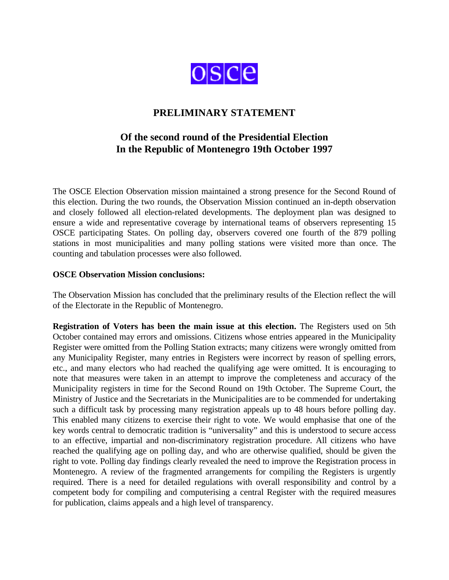

## **PRELIMINARY STATEMENT**

## **Of the second round of the Presidential Election In the Republic of Montenegro 19th October 1997**

The OSCE Election Observation mission maintained a strong presence for the Second Round of this election. During the two rounds, the Observation Mission continued an in-depth observation and closely followed all election-related developments. The deployment plan was designed to ensure a wide and representative coverage by international teams of observers representing 15 OSCE participating States. On polling day, observers covered one fourth of the 879 polling stations in most municipalities and many polling stations were visited more than once. The counting and tabulation processes were also followed.

## **OSCE Observation Mission conclusions:**

The Observation Mission has concluded that the preliminary results of the Election reflect the will of the Electorate in the Republic of Montenegro.

**Registration of Voters has been the main issue at this election.** The Registers used on 5th October contained may errors and omissions. Citizens whose entries appeared in the Municipality Register were omitted from the Polling Station extracts; many citizens were wrongly omitted from any Municipality Register, many entries in Registers were incorrect by reason of spelling errors, etc., and many electors who had reached the qualifying age were omitted. It is encouraging to note that measures were taken in an attempt to improve the completeness and accuracy of the Municipality registers in time for the Second Round on 19th October. The Supreme Court, the Ministry of Justice and the Secretariats in the Municipalities are to be commended for undertaking such a difficult task by processing many registration appeals up to 48 hours before polling day. This enabled many citizens to exercise their right to vote. We would emphasise that one of the key words central to democratic tradition is "universality" and this is understood to secure access to an effective, impartial and non-discriminatory registration procedure. All citizens who have reached the qualifying age on polling day, and who are otherwise qualified, should be given the right to vote. Polling day findings clearly revealed the need to improve the Registration process in Montenegro. A review of the fragmented arrangements for compiling the Registers is urgently required. There is a need for detailed regulations with overall responsibility and control by a competent body for compiling and computerising a central Register with the required measures for publication, claims appeals and a high level of transparency.